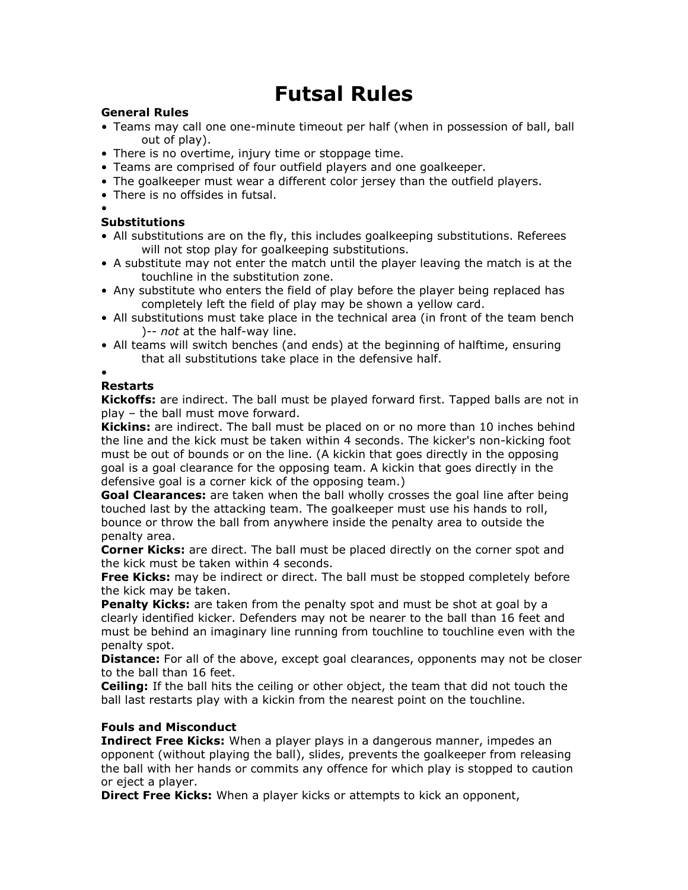# **Futsal Rules**

## **General Rules**

- Teams may call one one-minute timeout per half (when in possession of ball, ball out of play).
- There is no overtime, injury time or stoppage time.
- Teams are comprised of four outfield players and one goalkeeper.
- The goalkeeper must wear a different color jersey than the outfield players.
- There is no offsides in futsal.
- •

## **Substitutions**

- All substitutions are on the fly, this includes goalkeeping substitutions. Referees will not stop play for goalkeeping substitutions.
- A substitute may not enter the match until the player leaving the match is at the touchline in the substitution zone.
- Any substitute who enters the field of play before the player being replaced has completely left the field of play may be shown a yellow card.
- All substitutions must take place in the technical area (in front of the team bench )-- *not* at the half-way line.
- All teams will switch benches (and ends) at the beginning of halftime, ensuring that all substitutions take place in the defensive half.

#### • **Restarts**

**Kickoffs:** are indirect. The ball must be played forward first. Tapped balls are not in play – the ball must move forward.

**Kickins:** are indirect. The ball must be placed on or no more than 10 inches behind the line and the kick must be taken within 4 seconds. The kicker's non-kicking foot must be out of bounds or on the line. (A kickin that goes directly in the opposing goal is a goal clearance for the opposing team. A kickin that goes directly in the defensive goal is a corner kick of the opposing team.)

**Goal Clearances:** are taken when the ball wholly crosses the goal line after being touched last by the attacking team. The goalkeeper must use his hands to roll, bounce or throw the ball from anywhere inside the penalty area to outside the penalty area.

**Corner Kicks:** are direct. The ball must be placed directly on the corner spot and the kick must be taken within 4 seconds.

**Free Kicks:** may be indirect or direct. The ball must be stopped completely before the kick may be taken.

**Penalty Kicks:** are taken from the penalty spot and must be shot at goal by a clearly identified kicker. Defenders may not be nearer to the ball than 16 feet and must be behind an imaginary line running from touchline to touchline even with the penalty spot.

**Distance:** For all of the above, except goal clearances, opponents may not be closer to the ball than 16 feet.

**Ceiling:** If the ball hits the ceiling or other object, the team that did not touch the ball last restarts play with a kickin from the nearest point on the touchline.

## **Fouls and Misconduct**

**Indirect Free Kicks:** When a player plays in a dangerous manner, impedes an opponent (without playing the ball), slides, prevents the goalkeeper from releasing the ball with her hands or commits any offence for which play is stopped to caution or eject a player.

**Direct Free Kicks:** When a player kicks or attempts to kick an opponent,